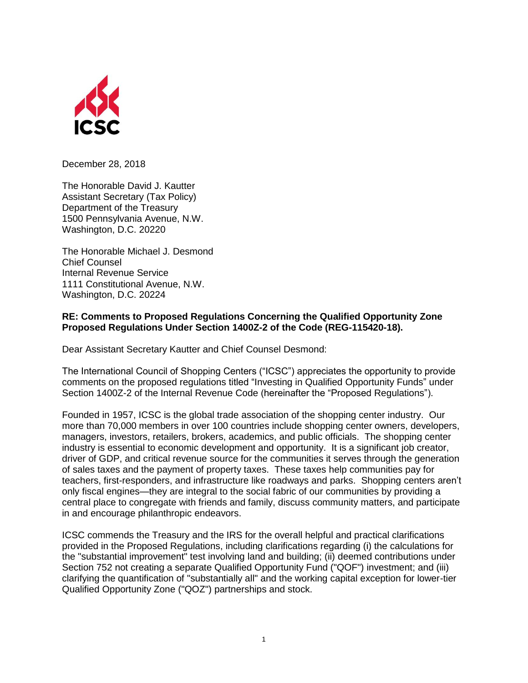

December 28, 2018

The Honorable David J. Kautter Assistant Secretary (Tax Policy) Department of the Treasury 1500 Pennsylvania Avenue, N.W. Washington, D.C. 20220

The Honorable Michael J. Desmond Chief Counsel Internal Revenue Service 1111 Constitutional Avenue, N.W. Washington, D.C. 20224

## **RE: Comments to Proposed Regulations Concerning the Qualified Opportunity Zone Proposed Regulations Under Section 1400Z-2 of the Code (REG-115420-18).**

Dear Assistant Secretary Kautter and Chief Counsel Desmond:

The International Council of Shopping Centers ("ICSC") appreciates the opportunity to provide comments on the proposed regulations titled "Investing in Qualified Opportunity Funds" under Section 1400Z-2 of the Internal Revenue Code (hereinafter the "Proposed Regulations").

Founded in 1957, ICSC is the global trade association of the shopping center industry. Our more than 70,000 members in over 100 countries include shopping center owners, developers, managers, investors, retailers, brokers, academics, and public officials. The shopping center industry is essential to economic development and opportunity. It is a significant job creator, driver of GDP, and critical revenue source for the communities it serves through the generation of sales taxes and the payment of property taxes. These taxes help communities pay for teachers, first-responders, and infrastructure like roadways and parks. Shopping centers aren't only fiscal engines—they are integral to the social fabric of our communities by providing a central place to congregate with friends and family, discuss community matters, and participate in and encourage philanthropic endeavors.

ICSC commends the Treasury and the IRS for the overall helpful and practical clarifications provided in the Proposed Regulations, including clarifications regarding (i) the calculations for the "substantial improvement" test involving land and building; (ii) deemed contributions under Section 752 not creating a separate Qualified Opportunity Fund ("QOF") investment; and (iii) clarifying the quantification of "substantially all" and the working capital exception for lower-tier Qualified Opportunity Zone ("QOZ") partnerships and stock.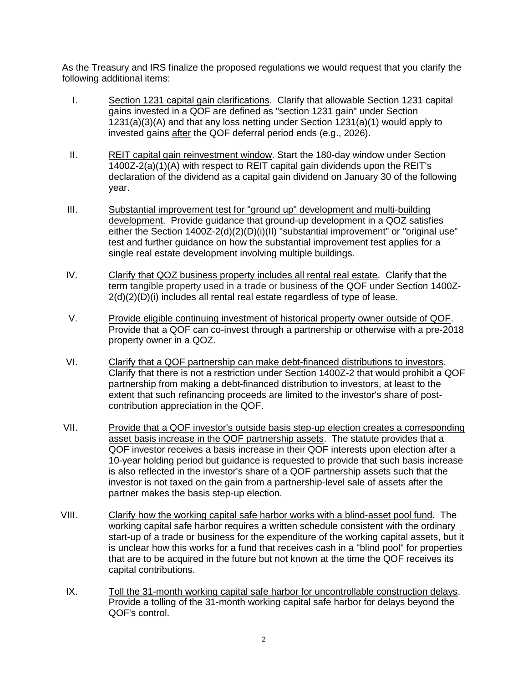As the Treasury and IRS finalize the proposed regulations we would request that you clarify the following additional items:

- I. Section 1231 capital gain clarifications. Clarify that allowable Section 1231 capital gains invested in a QOF are defined as "section 1231 gain" under Section 1231(a)(3)(A) and that any loss netting under Section 1231(a)(1) would apply to invested gains after the QOF deferral period ends (e.g., 2026).
- II. REIT capital gain reinvestment window. Start the 180-day window under Section 1400Z-2(a)(1)(A) with respect to REIT capital gain dividends upon the REIT's declaration of the dividend as a capital gain dividend on January 30 of the following year.
- III. Substantial improvement test for "ground up" development and multi-building development. Provide guidance that ground-up development in a QOZ satisfies either the Section 1400Z-2(d)(2)(D)(i)(II) "substantial improvement" or "original use" test and further guidance on how the substantial improvement test applies for a single real estate development involving multiple buildings.
- IV. Clarify that QOZ business property includes all rental real estate. Clarify that the term tangible property used in a trade or business of the QOF under Section 1400Z-2(d)(2)(D)(i) includes all rental real estate regardless of type of lease.
- V. Provide eligible continuing investment of historical property owner outside of QOF. Provide that a QOF can co-invest through a partnership or otherwise with a pre-2018 property owner in a QOZ.
- VI. Clarify that a QOF partnership can make debt-financed distributions to investors. Clarify that there is not a restriction under Section 1400Z-2 that would prohibit a QOF partnership from making a debt-financed distribution to investors, at least to the extent that such refinancing proceeds are limited to the investor's share of postcontribution appreciation in the QOF.
- VII. Provide that a QOF investor's outside basis step-up election creates a corresponding asset basis increase in the QOF partnership assets. The statute provides that a QOF investor receives a basis increase in their QOF interests upon election after a 10-year holding period but guidance is requested to provide that such basis increase is also reflected in the investor's share of a QOF partnership assets such that the investor is not taxed on the gain from a partnership-level sale of assets after the partner makes the basis step-up election.
- VIII. Clarify how the working capital safe harbor works with a blind-asset pool fund. The working capital safe harbor requires a written schedule consistent with the ordinary start-up of a trade or business for the expenditure of the working capital assets, but it is unclear how this works for a fund that receives cash in a "blind pool" for properties that are to be acquired in the future but not known at the time the QOF receives its capital contributions.
	- IX. Toll the 31-month working capital safe harbor for uncontrollable construction delays. Provide a tolling of the 31-month working capital safe harbor for delays beyond the QOF's control.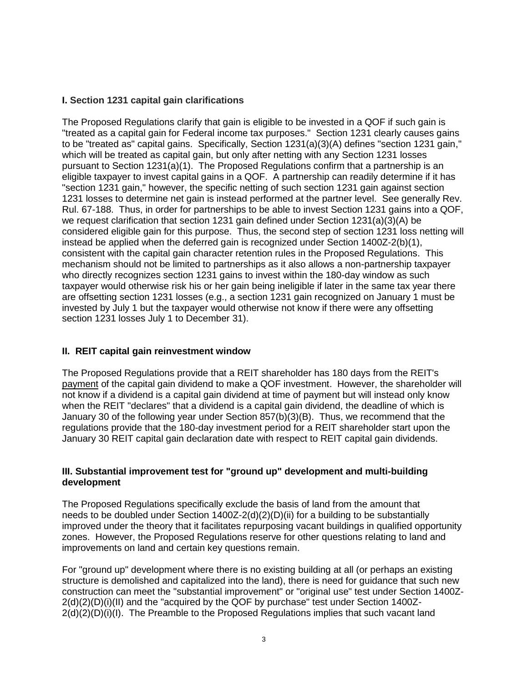# **I. Section 1231 capital gain clarifications**

The Proposed Regulations clarify that gain is eligible to be invested in a QOF if such gain is "treated as a capital gain for Federal income tax purposes." Section 1231 clearly causes gains to be "treated as" capital gains. Specifically, Section 1231(a)(3)(A) defines "section 1231 gain," which will be treated as capital gain, but only after netting with any Section 1231 losses pursuant to Section 1231(a)(1). The Proposed Regulations confirm that a partnership is an eligible taxpayer to invest capital gains in a QOF. A partnership can readily determine if it has "section 1231 gain," however, the specific netting of such section 1231 gain against section 1231 losses to determine net gain is instead performed at the partner level. See generally Rev. Rul. 67-188. Thus, in order for partnerships to be able to invest Section 1231 gains into a QOF, we request clarification that section 1231 gain defined under Section 1231(a)(3)(A) be considered eligible gain for this purpose. Thus, the second step of section 1231 loss netting will instead be applied when the deferred gain is recognized under Section 1400Z-2(b)(1), consistent with the capital gain character retention rules in the Proposed Regulations. This mechanism should not be limited to partnerships as it also allows a non-partnership taxpayer who directly recognizes section 1231 gains to invest within the 180-day window as such taxpayer would otherwise risk his or her gain being ineligible if later in the same tax year there are offsetting section 1231 losses (e.g., a section 1231 gain recognized on January 1 must be invested by July 1 but the taxpayer would otherwise not know if there were any offsetting section 1231 losses July 1 to December 31).

# **II. REIT capital gain reinvestment window**

The Proposed Regulations provide that a REIT shareholder has 180 days from the REIT's payment of the capital gain dividend to make a QOF investment. However, the shareholder will not know if a dividend is a capital gain dividend at time of payment but will instead only know when the REIT "declares" that a dividend is a capital gain dividend, the deadline of which is January 30 of the following year under Section 857(b)(3)(B). Thus, we recommend that the regulations provide that the 180-day investment period for a REIT shareholder start upon the January 30 REIT capital gain declaration date with respect to REIT capital gain dividends.

#### **III. Substantial improvement test for "ground up" development and multi-building development**

The Proposed Regulations specifically exclude the basis of land from the amount that needs to be doubled under Section 1400Z-2(d)(2)(D)(ii) for a building to be substantially improved under the theory that it facilitates repurposing vacant buildings in qualified opportunity zones. However, the Proposed Regulations reserve for other questions relating to land and improvements on land and certain key questions remain.

For "ground up" development where there is no existing building at all (or perhaps an existing structure is demolished and capitalized into the land), there is need for guidance that such new construction can meet the "substantial improvement" or "original use" test under Section 1400Z-2(d)(2)(D)(i)(II) and the "acquired by the QOF by purchase" test under Section 1400Z- $2(d)(2)(D)(i)(I)$ . The Preamble to the Proposed Regulations implies that such vacant land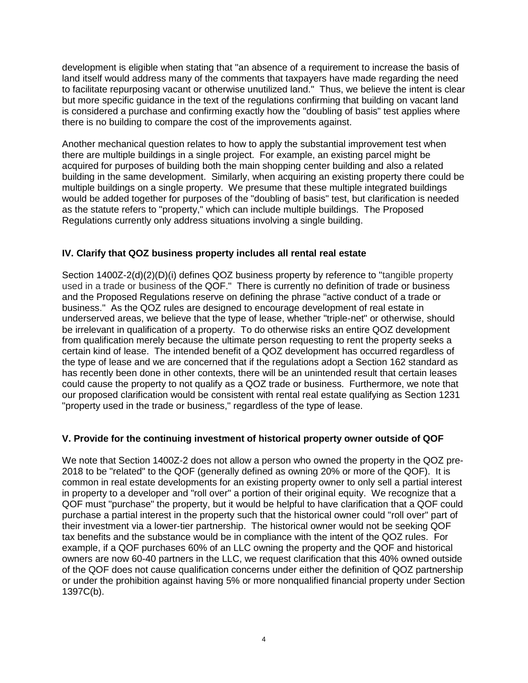development is eligible when stating that "an absence of a requirement to increase the basis of land itself would address many of the comments that taxpayers have made regarding the need to facilitate repurposing vacant or otherwise unutilized land." Thus, we believe the intent is clear but more specific guidance in the text of the regulations confirming that building on vacant land is considered a purchase and confirming exactly how the "doubling of basis" test applies where there is no building to compare the cost of the improvements against.

Another mechanical question relates to how to apply the substantial improvement test when there are multiple buildings in a single project. For example, an existing parcel might be acquired for purposes of building both the main shopping center building and also a related building in the same development. Similarly, when acquiring an existing property there could be multiple buildings on a single property. We presume that these multiple integrated buildings would be added together for purposes of the "doubling of basis" test, but clarification is needed as the statute refers to "property," which can include multiple buildings. The Proposed Regulations currently only address situations involving a single building.

# **IV. Clarify that QOZ business property includes all rental real estate**

Section 1400Z-2(d)(2)(D)(i) defines QOZ business property by reference to "tangible property used in a trade or business of the QOF." There is currently no definition of trade or business and the Proposed Regulations reserve on defining the phrase "active conduct of a trade or business." As the QOZ rules are designed to encourage development of real estate in underserved areas, we believe that the type of lease, whether "triple-net" or otherwise, should be irrelevant in qualification of a property. To do otherwise risks an entire QOZ development from qualification merely because the ultimate person requesting to rent the property seeks a certain kind of lease. The intended benefit of a QOZ development has occurred regardless of the type of lease and we are concerned that if the regulations adopt a Section 162 standard as has recently been done in other contexts, there will be an unintended result that certain leases could cause the property to not qualify as a QOZ trade or business. Furthermore, we note that our proposed clarification would be consistent with rental real estate qualifying as Section 1231 "property used in the trade or business," regardless of the type of lease.

# **V. Provide for the continuing investment of historical property owner outside of QOF**

We note that Section 1400Z-2 does not allow a person who owned the property in the QOZ pre-2018 to be "related" to the QOF (generally defined as owning 20% or more of the QOF). It is common in real estate developments for an existing property owner to only sell a partial interest in property to a developer and "roll over" a portion of their original equity. We recognize that a QOF must "purchase" the property, but it would be helpful to have clarification that a QOF could purchase a partial interest in the property such that the historical owner could "roll over" part of their investment via a lower-tier partnership. The historical owner would not be seeking QOF tax benefits and the substance would be in compliance with the intent of the QOZ rules. For example, if a QOF purchases 60% of an LLC owning the property and the QOF and historical owners are now 60-40 partners in the LLC, we request clarification that this 40% owned outside of the QOF does not cause qualification concerns under either the definition of QOZ partnership or under the prohibition against having 5% or more nonqualified financial property under Section 1397C(b).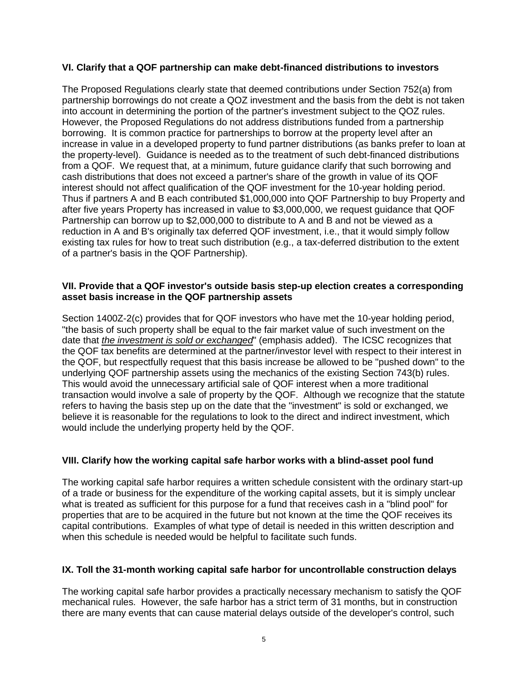## **VI. Clarify that a QOF partnership can make debt-financed distributions to investors**

The Proposed Regulations clearly state that deemed contributions under Section 752(a) from partnership borrowings do not create a QOZ investment and the basis from the debt is not taken into account in determining the portion of the partner's investment subject to the QOZ rules. However, the Proposed Regulations do not address distributions funded from a partnership borrowing. It is common practice for partnerships to borrow at the property level after an increase in value in a developed property to fund partner distributions (as banks prefer to loan at the property-level). Guidance is needed as to the treatment of such debt-financed distributions from a QOF. We request that, at a minimum, future guidance clarify that such borrowing and cash distributions that does not exceed a partner's share of the growth in value of its QOF interest should not affect qualification of the QOF investment for the 10-year holding period. Thus if partners A and B each contributed \$1,000,000 into QOF Partnership to buy Property and after five years Property has increased in value to \$3,000,000, we request guidance that QOF Partnership can borrow up to \$2,000,000 to distribute to A and B and not be viewed as a reduction in A and B's originally tax deferred QOF investment, i.e., that it would simply follow existing tax rules for how to treat such distribution (e.g., a tax-deferred distribution to the extent of a partner's basis in the QOF Partnership).

#### **VII. Provide that a QOF investor's outside basis step-up election creates a corresponding asset basis increase in the QOF partnership assets**

Section 1400Z-2(c) provides that for QOF investors who have met the 10-year holding period, "the basis of such property shall be equal to the fair market value of such investment on the date that *the investment is sold or exchanged*" (emphasis added). The ICSC recognizes that the QOF tax benefits are determined at the partner/investor level with respect to their interest in the QOF, but respectfully request that this basis increase be allowed to be "pushed down" to the underlying QOF partnership assets using the mechanics of the existing Section 743(b) rules. This would avoid the unnecessary artificial sale of QOF interest when a more traditional transaction would involve a sale of property by the QOF. Although we recognize that the statute refers to having the basis step up on the date that the "investment" is sold or exchanged, we believe it is reasonable for the regulations to look to the direct and indirect investment, which would include the underlying property held by the QOF.

## **VIII. Clarify how the working capital safe harbor works with a blind-asset pool fund**

The working capital safe harbor requires a written schedule consistent with the ordinary start-up of a trade or business for the expenditure of the working capital assets, but it is simply unclear what is treated as sufficient for this purpose for a fund that receives cash in a "blind pool" for properties that are to be acquired in the future but not known at the time the QOF receives its capital contributions. Examples of what type of detail is needed in this written description and when this schedule is needed would be helpful to facilitate such funds.

## **IX. Toll the 31-month working capital safe harbor for uncontrollable construction delays**

The working capital safe harbor provides a practically necessary mechanism to satisfy the QOF mechanical rules. However, the safe harbor has a strict term of 31 months, but in construction there are many events that can cause material delays outside of the developer's control, such